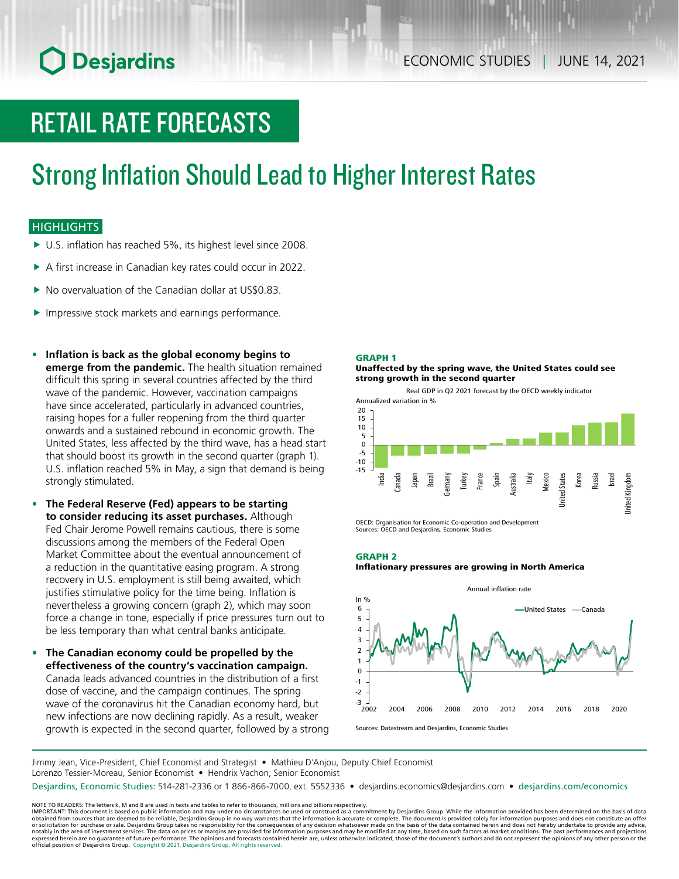# **O** Desjardins

# RETAIL RATE FORECASTS

# Strong Inflation Should Lead to Higher Interest Rates

### **HIGHLIGHTS**

- $\blacktriangleright$  U.S. inflation has reached 5%, its highest level since 2008.
- $\triangleright$  A first increase in Canadian key rates could occur in 2022.
- $\blacktriangleright$  No overvaluation of the Canadian dollar at US\$0.83.
- $\blacktriangleright$  Impressive stock markets and earnings performance.
- **• Inflation is back as the global economy begins to emerge from the pandemic.** The health situation remained difficult this spring in several countries affected by the third wave of the pandemic. However, vaccination campaigns have since accelerated, particularly in advanced countries, raising hopes for a fuller reopening from the third quarter onwards and a sustained rebound in economic growth. The United States, less affected by the third wave, has a head start that should boost its growth in the second quarter (graph 1). U.S. inflation reached 5% in May, a sign that demand is being strongly stimulated.
- **• The Federal Reserve (Fed) appears to be starting to consider reducing its asset purchases.** Although Fed Chair Jerome Powell remains cautious, there is some discussions among the members of the Federal Open Market Committee about the eventual announcement of a reduction in the quantitative easing program. A strong recovery in U.S. employment is still being awaited, which justifies stimulative policy for the time being. Inflation is nevertheless a growing concern (graph 2), which may soon force a change in tone, especially if price pressures turn out to be less temporary than what central banks anticipate.
- **• The Canadian economy could be propelled by the effectiveness of the country's vaccination campaign.** Canada leads advanced countries in the distribution of a first dose of vaccine, and the campaign continues. The spring wave of the coronavirus hit the Canadian economy hard, but new infections are now declining rapidly. As a result, weaker growth is expected in the second quarter, followed by a strong

#### GRAPH 1

Unaffected by the spring wave, the United States could see strong growth in the second quarter





OECD: Organisation for Economic Co-operation and Development Sources: OECD and Desjardins, Economic Studies

#### GRAPH 2

#### Inflationary pressures are growing in North America



Sources: Datastream and Desjardins, Economic Studies

Jimmy Jean, Vice-President, Chief Economist and Strategist • Mathieu D'Anjou, Deputy Chief Economist Lorenzo Tessier-Moreau, Senior Economist • Hendrix Vachon, Senior Economist

Desjardins, Economic Studies: 514-281-2336 or 1 866-866-7000, ext. 5552336 • desjardins.economics@desjardins.com • [desjardins.com/economics](http://desjardins.com/economics)

NOTE TO READERS: The letters k, M and B are used in texts and tables to refer to thousands, millions and billions respectively.<br>IMPORTANT: This document is based on public information and may under no circumstances be used obtained from sources that are deemed to be reliable, Desjardins Group in no way warrants that the information is accurate or complete. The document is provided solely for information purposes and does not constitute an of official position of Desjardins Group. Copyright © 2021, Desjardins Group. All rights reserved.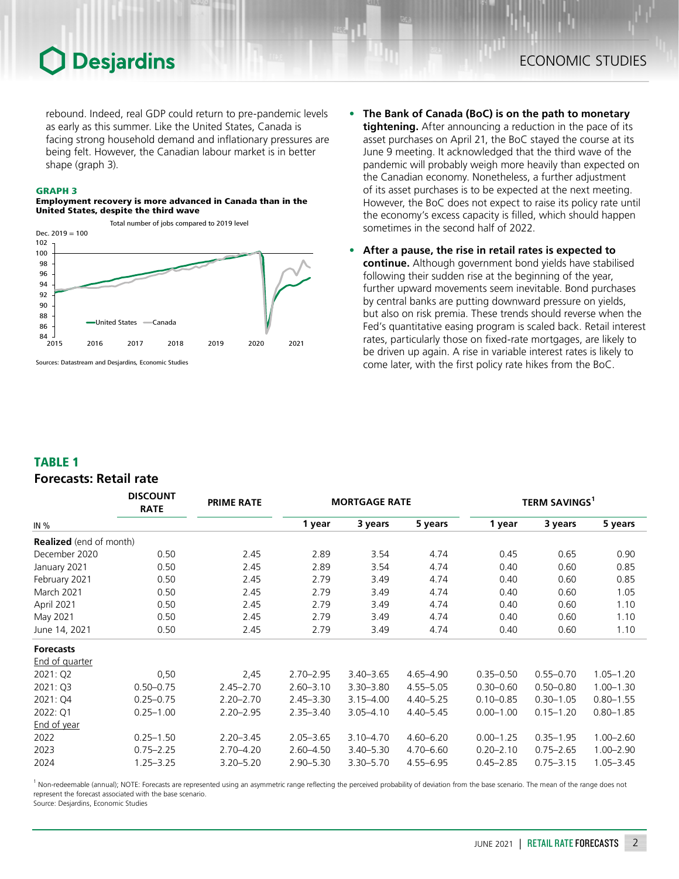## **Desjardins**

rebound. Indeed, real GDP could return to pre-pandemic levels as early as this summer. Like the United States, Canada is facing strong household demand and inflationary pressures are being felt. However, the Canadian labour market is in better shape (graph 3).

#### GRAPH 3

#### Employment recovery is more advanced in Canada than in the United States, despite the third wave



Sources: Datastream and Desjardins, Economic Studies

- **• The Bank of Canada (BoC) is on the path to monetary tightening.** After announcing a reduction in the pace of its asset purchases on April 21, the BoC stayed the course at its June 9 meeting. It acknowledged that the third wave of the pandemic will probably weigh more heavily than expected on the Canadian economy. Nonetheless, a further adjustment of its asset purchases is to be expected at the next meeting. However, the BoC does not expect to raise its policy rate until the economy's excess capacity is filled, which should happen sometimes in the second half of 2022.
- **• After a pause, the rise in retail rates is expected to continue.** Although government bond yields have stabilised following their sudden rise at the beginning of the year, further upward movements seem inevitable. Bond purchases by central banks are putting downward pressure on yields, but also on risk premia. These trends should reverse when the Fed's quantitative easing program is scaled back. Retail interest rates, particularly those on fixed-rate mortgages, are likely to be driven up again. A rise in variable interest rates is likely to come later, with the first policy rate hikes from the BoC.

#### TABLE 1

### *Forecasts: Retail rate*

|                                | <b>DISCOUNT</b><br><b>RATE</b> | <b>PRIME RATE</b> | <b>MORTGAGE RATE</b> |               |               | TERM SAVINGS <sup>1</sup> |               |               |  |
|--------------------------------|--------------------------------|-------------------|----------------------|---------------|---------------|---------------------------|---------------|---------------|--|
| IN $%$                         |                                |                   | 1 year               | 3 years       | 5 years       | 1 year                    | 3 years       | 5 years       |  |
| <b>Realized</b> (end of month) |                                |                   |                      |               |               |                           |               |               |  |
| December 2020                  | 0.50                           | 2.45              | 2.89                 | 3.54          | 4.74          | 0.45                      | 0.65          | 0.90          |  |
| January 2021                   | 0.50                           | 2.45              | 2.89                 | 3.54          | 4.74          | 0.40                      | 0.60          | 0.85          |  |
| February 2021                  | 0.50                           | 2.45              | 2.79                 | 3.49          | 4.74          | 0.40                      | 0.60          | 0.85          |  |
| March 2021                     | 0.50                           | 2.45              | 2.79                 | 3.49          | 4.74          | 0.40                      | 0.60          | 1.05          |  |
| April 2021                     | 0.50                           | 2.45              | 2.79                 | 3.49          | 4.74          | 0.40                      | 0.60          | 1.10          |  |
| May 2021                       | 0.50                           | 2.45              | 2.79                 | 3.49          | 4.74          | 0.40                      | 0.60          | 1.10          |  |
| June 14, 2021                  | 0.50                           | 2.45              | 2.79                 | 3.49          | 4.74          | 0.40                      | 0.60          | 1.10          |  |
| <b>Forecasts</b>               |                                |                   |                      |               |               |                           |               |               |  |
| <b>End of quarter</b>          |                                |                   |                      |               |               |                           |               |               |  |
| 2021: Q2                       | 0,50                           | 2,45              | $2.70 - 2.95$        | $3.40 - 3.65$ | 4.65-4.90     | $0.35 - 0.50$             | $0.55 - 0.70$ | $1.05 - 1.20$ |  |
| 2021: Q3                       | $0.50 - 0.75$                  | $2.45 - 2.70$     | $2.60 - 3.10$        | $3.30 - 3.80$ | $4.55 - 5.05$ | $0.30 - 0.60$             | $0.50 - 0.80$ | $1.00 - 1.30$ |  |
| 2021: Q4                       | $0.25 - 0.75$                  | $2.20 - 2.70$     | $2.45 - 3.30$        | $3.15 - 4.00$ | $4.40 - 5.25$ | $0.10 - 0.85$             | $0.30 - 1.05$ | $0.80 - 1.55$ |  |
| 2022: Q1                       | $0.25 - 1.00$                  | $2.20 - 2.95$     | $2.35 - 3.40$        | $3.05 - 4.10$ | $4.40 - 5.45$ | $0.00 - 1.00$             | $0.15 - 1.20$ | $0.80 - 1.85$ |  |
| End of year                    |                                |                   |                      |               |               |                           |               |               |  |
| 2022                           | $0.25 - 1.50$                  | $2.20 - 3.45$     | $2.05 - 3.65$        | $3.10 - 4.70$ | $4.60 - 6.20$ | $0.00 - 1.25$             | $0.35 - 1.95$ | $1.00 - 2.60$ |  |
| 2023                           | $0.75 - 2.25$                  | 2.70-4.20         | $2.60 - 4.50$        | $3.40 - 5.30$ | $4.70 - 6.60$ | $0.20 - 2.10$             | $0.75 - 2.65$ | $1.00 - 2.90$ |  |
| 2024                           | $1.25 - 3.25$                  | $3.20 - 5.20$     | $2.90 - 5.30$        | $3.30 - 5.70$ | $4.55 - 6.95$ | $0.45 - 2.85$             | $0.75 - 3.15$ | $1.05 - 3.45$ |  |

<sup>1</sup> Non-redeemable (annual); NOTE: Forecasts are represented using an asymmetric range reflecting the perceived probability of deviation from the base scenario. The mean of the range does not represent the forecast associated with the base scenario.

Source: Desjardins, Economic Studies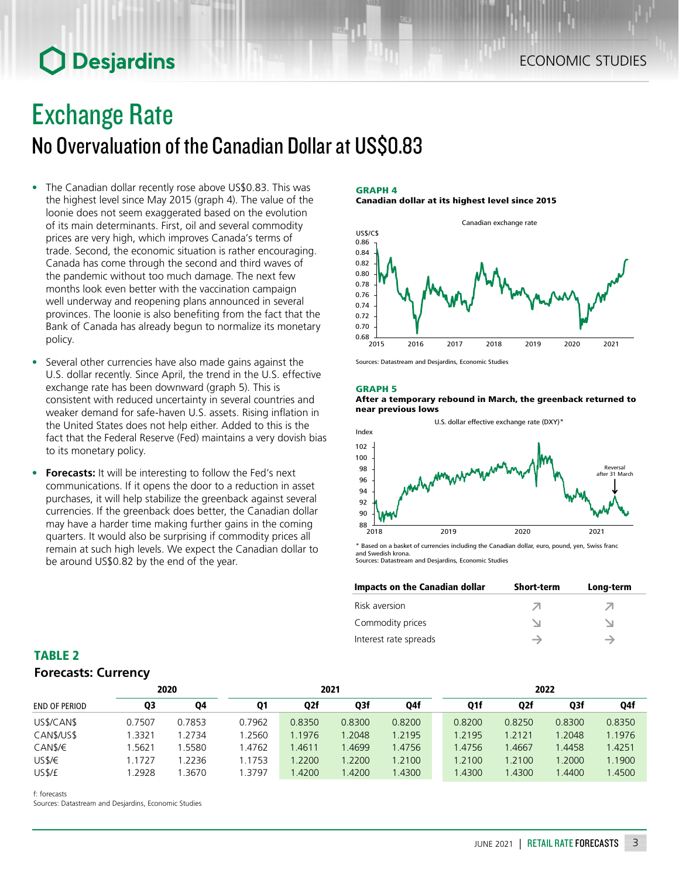### ECONOMIC STUDIES

## **O** Desjardins

# Exchange Rate

## No Overvaluation of the Canadian Dollar at US\$0.83

- The Canadian dollar recently rose above US\$0.83. This was the highest level since May 2015 (graph 4). The value of the loonie does not seem exaggerated based on the evolution of its main determinants. First, oil and several commodity prices are very high, which improves Canada's terms of trade. Second, the economic situation is rather encouraging. Canada has come through the second and third waves of the pandemic without too much damage. The next few months look even better with the vaccination campaign well underway and reopening plans announced in several provinces. The loonie is also benefiting from the fact that the Bank of Canada has already begun to normalize its monetary policy.
- Several other currencies have also made gains against the U.S. dollar recently. Since April, the trend in the U.S. effective exchange rate has been downward (graph 5). This is consistent with reduced uncertainty in several countries and weaker demand for safe-haven U.S. assets. Rising inflation in the United States does not help either. Added to this is the fact that the Federal Reserve (Fed) maintains a very dovish bias to its monetary policy.
- **Forecasts:** It will be interesting to follow the Fed's next communications. If it opens the door to a reduction in asset purchases, it will help stabilize the greenback against several currencies. If the greenback does better, the Canadian dollar may have a harder time making further gains in the coming quarters. It would also be surprising if commodity prices all remain at such high levels. We expect the Canadian dollar to be around US\$0.82 by the end of the year.

#### GRAPH 4 Canadian dollar at its highest level since 2015



Sources: Datastream and Desjardins, Economic Studies

#### GRAPH 5

#### After a temporary rebound in March, the greenback returned to near previous lows



\* Based on a basket of currencies including the Canadian dollar, euro, pound, yen, Swiss franc and Swedish krona. Sources: Datastream and Desjardins, Economic Studies

| Impacts on the Canadian dollar | <b>Short-term</b> | Long-term |
|--------------------------------|-------------------|-----------|
| Risk aversion                  |                   |           |
| Commodity prices               |                   |           |
| Interest rate spreads          |                   |           |

### TABLE 2 *Forecasts: Currency*

|                      |        | 2020   |           |                  | 2021   |        |        |        | 2022   |        |  |
|----------------------|--------|--------|-----------|------------------|--------|--------|--------|--------|--------|--------|--|
| <b>END OF PERIOD</b> | Q3     | 04     | <b>Q1</b> | Q <sub>2</sub> f | Q3f    | Q4f    | Q1f    | Q2f    | Q3f    | Q4f    |  |
| US\$/CAN\$           | 0.7507 | 0.7853 | 0.7962    | 0.8350           | 0.8300 | 0.8200 | 0.8200 | 0.8250 | 0.8300 | 0.8350 |  |
| CAN\$/US\$           | .3321  | 1.2734 | 1.2560    | 1.1976           | 1.2048 | 1.2195 | 1.2195 | 1.2121 | 1.2048 | 1.1976 |  |
| CAN\$/€              | .5621  | 1.5580 | .4762     | .4611            | .4699  | 1.4756 | 1.4756 | .4667  | 1.4458 | 1.4251 |  |
| USS/E                | .1727  | .2236  | 1.1753    | .2200            | 1.2200 | 1.2100 | 1.2100 | 1.2100 | 1.2000 | 1.1900 |  |
| US\$/£               | .2928  | 3670،، | 1.3797    | .4200            | 1.4200 | 1.4300 | .4300  | 1.4300 | .4400  | .4500  |  |

f: forecasts

Sources: Datastream and Desjardins, Economic Studies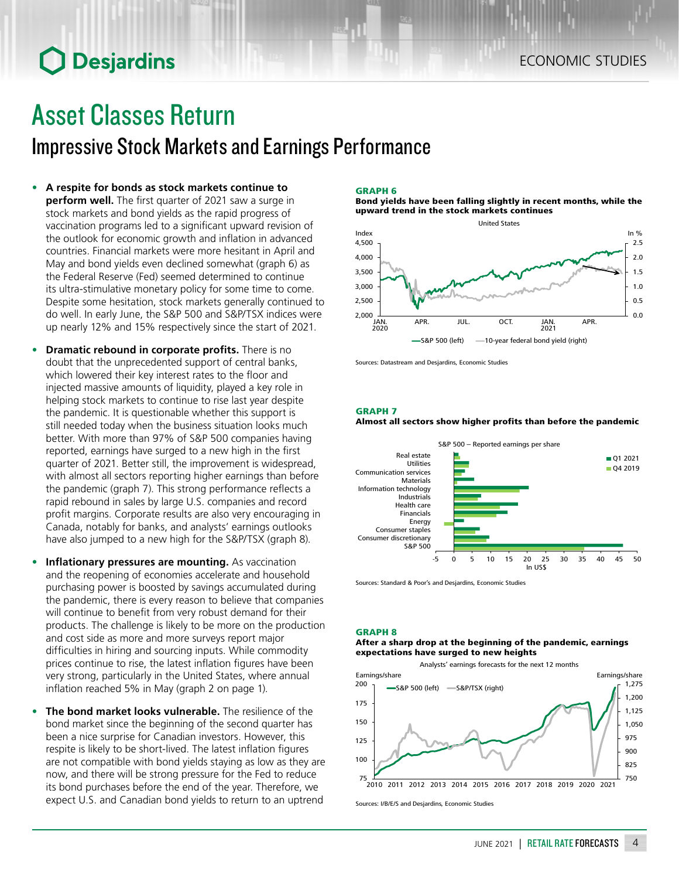# **O** Desjardins

# Asset Classes Return

### Impressive Stock Markets and Earnings Performance

- **• A respite for bonds as stock markets continue to perform well.** The first quarter of 2021 saw a surge in stock markets and bond yields as the rapid progress of vaccination programs led to a significant upward revision of the outlook for economic growth and inflation in advanced countries. Financial markets were more hesitant in April and May and bond yields even declined somewhat (graph 6) as the Federal Reserve (Fed) seemed determined to continue its ultra-stimulative monetary policy for some time to come. Despite some hesitation, stock markets generally continued to do well. In early June, the S&P 500 and S&P/TSX indices were up nearly 12% and 15% respectively since the start of 2021.
- **• Dramatic rebound in corporate profits.** There is no doubt that the unprecedented support of central banks, which lowered their key interest rates to the floor and injected massive amounts of liquidity, played a key role in helping stock markets to continue to rise last year despite the pandemic. It is questionable whether this support is still needed today when the business situation looks much better. With more than 97% of S&P 500 companies having reported, earnings have surged to a new high in the first quarter of 2021. Better still, the improvement is widespread, with almost all sectors reporting higher earnings than before the pandemic (graph 7). This strong performance reflects a rapid rebound in sales by large U.S. companies and record profit margins. Corporate results are also very encouraging in Canada, notably for banks, and analysts' earnings outlooks have also jumped to a new high for the S&P/TSX (graph 8).
- **• Inflationary pressures are mounting.** As vaccination and the reopening of economies accelerate and household purchasing power is boosted by savings accumulated during the pandemic, there is every reason to believe that companies will continue to benefit from very robust demand for their products. The challenge is likely to be more on the production and cost side as more and more surveys report major difficulties in hiring and sourcing inputs. While commodity prices continue to rise, the latest inflation figures have been very strong, particularly in the United States, where annual inflation reached 5% in May (graph 2 on page 1).
- **• The bond market looks vulnerable.** The resilience of the bond market since the beginning of the second quarter has been a nice surprise for Canadian investors. However, this respite is likely to be short-lived. The latest inflation figures are not compatible with bond yields staying as low as they are now, and there will be strong pressure for the Fed to reduce its bond purchases before the end of the year. Therefore, we expect U.S. and Canadian bond yields to return to an uptrend

#### GRAPH 6

Bond yields have been falling slightly in recent months, while the upward trend in the stock markets continues



Sources: Datastream and Desjardins, Economic Studies

GRAPH 7

#### Almost all sectors show higher profits than before the pandemic



Sources: Standard & Poor's and Desjardins, Economic Studies

#### GRAPH 8

#### After a sharp drop at the beginning of the pandemic, earnings expectations have surged to new heights

Analysts' earnings forecasts for the next 12 months



Sources: I/B/E/S and Desjardins, Economic Studies